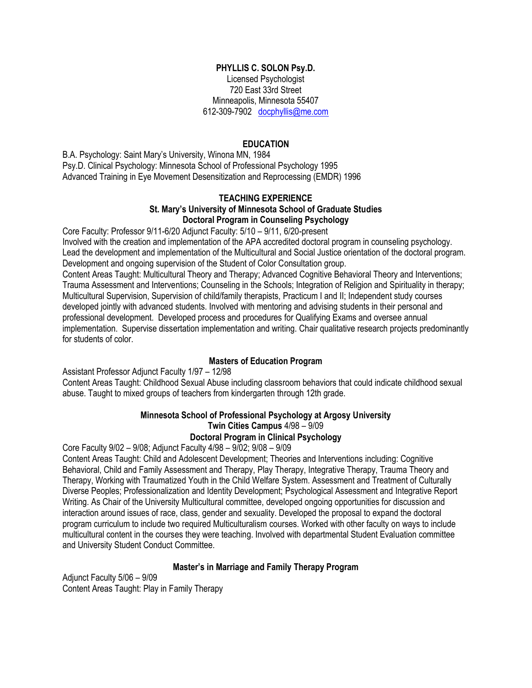#### **PHYLLIS C. SOLON Psy.D.**

Licensed Psychologist 720 East 33rd Street Minneapolis, Minnesota 55407 612-309-7902 [docphyllis@me.com](mailto:docphyllis@me.com)

#### **EDUCATION**

B.A. Psychology: Saint Mary's University, Winona MN, 1984 Psy.D. Clinical Psychology: Minnesota School of Professional Psychology 1995 Advanced Training in Eye Movement Desensitization and Reprocessing (EMDR) 1996

#### **TEACHING EXPERIENCE St. Mary's University of Minnesota School of Graduate Studies Doctoral Program in Counseling Psychology**

Core Faculty: Professor 9/11-6/20 Adjunct Faculty: 5/10 – 9/11, 6/20-present Involved with the creation and implementation of the APA accredited doctoral program in counseling psychology. Lead the development and implementation of the Multicultural and Social Justice orientation of the doctoral program. Development and ongoing supervision of the Student of Color Consultation group.

Content Areas Taught: Multicultural Theory and Therapy; Advanced Cognitive Behavioral Theory and Interventions; Trauma Assessment and Interventions; Counseling in the Schools; Integration of Religion and Spirituality in therapy; Multicultural Supervision, Supervision of child/family therapists, Practicum I and II; Independent study courses developed jointly with advanced students. Involved with mentoring and advising students in their personal and professional development. Developed process and procedures for Qualifying Exams and oversee annual implementation. Supervise dissertation implementation and writing. Chair qualitative research projects predominantly for students of color.

#### **Masters of Education Program**

Assistant Professor Adjunct Faculty 1/97 – 12/98

Content Areas Taught: Childhood Sexual Abuse including classroom behaviors that could indicate childhood sexual abuse. Taught to mixed groups of teachers from kindergarten through 12th grade.

# **Minnesota School of Professional Psychology at Argosy University**

## **Twin Cities Campus** 4/98 – 9/09

## **Doctoral Program in Clinical Psychology**

Core Faculty 9/02 – 9/08; Adjunct Faculty 4/98 – 9/02; 9/08 – 9/09

Content Areas Taught: Child and Adolescent Development; Theories and Interventions including: Cognitive Behavioral, Child and Family Assessment and Therapy, Play Therapy, Integrative Therapy, Trauma Theory and Therapy, Working with Traumatized Youth in the Child Welfare System. Assessment and Treatment of Culturally Diverse Peoples; Professionalization and Identity Development; Psychological Assessment and Integrative Report Writing. As Chair of the University Multicultural committee, developed ongoing opportunities for discussion and interaction around issues of race, class, gender and sexuality. Developed the proposal to expand the doctoral program curriculum to include two required Multiculturalism courses. Worked with other faculty on ways to include multicultural content in the courses they were teaching. Involved with departmental Student Evaluation committee and University Student Conduct Committee.

#### **Master's in Marriage and Family Therapy Program**

Adjunct Faculty 5/06 – 9/09 Content Areas Taught: Play in Family Therapy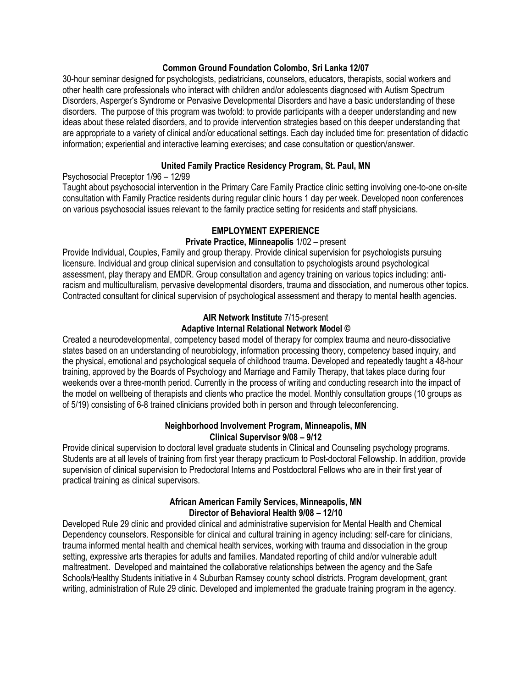#### **Common Ground Foundation Colombo, Sri Lanka 12/07**

30-hour seminar designed for psychologists, pediatricians, counselors, educators, therapists, social workers and other health care professionals who interact with children and/or adolescents diagnosed with Autism Spectrum Disorders, Asperger's Syndrome or Pervasive Developmental Disorders and have a basic understanding of these disorders. The purpose of this program was twofold: to provide participants with a deeper understanding and new ideas about these related disorders, and to provide intervention strategies based on this deeper understanding that are appropriate to a variety of clinical and/or educational settings. Each day included time for: presentation of didactic information; experiential and interactive learning exercises; and case consultation or question/answer.

#### **United Family Practice Residency Program, St. Paul, MN**

Psychosocial Preceptor 1/96 – 12/99

Taught about psychosocial intervention in the Primary Care Family Practice clinic setting involving one-to-one on-site consultation with Family Practice residents during regular clinic hours 1 day per week. Developed noon conferences on various psychosocial issues relevant to the family practice setting for residents and staff physicians.

#### **EMPLOYMENT EXPERIENCE**

#### **Private Practice, Minneapolis** 1/02 – present

Provide Individual, Couples, Family and group therapy. Provide clinical supervision for psychologists pursuing licensure. Individual and group clinical supervision and consultation to psychologists around psychological assessment, play therapy and EMDR. Group consultation and agency training on various topics including: antiracism and multiculturalism, pervasive developmental disorders, trauma and dissociation, and numerous other topics. Contracted consultant for clinical supervision of psychological assessment and therapy to mental health agencies.

#### **AIR Network Institute** 7/15-present

#### **Adaptive Internal Relational Network Model ©**

Created a neurodevelopmental, competency based model of therapy for complex trauma and neuro-dissociative states based on an understanding of neurobiology, information processing theory, competency based inquiry, and the physical, emotional and psychological sequela of childhood trauma. Developed and repeatedly taught a 48-hour training, approved by the Boards of Psychology and Marriage and Family Therapy, that takes place during four weekends over a three-month period. Currently in the process of writing and conducting research into the impact of the model on wellbeing of therapists and clients who practice the model. Monthly consultation groups (10 groups as of 5/19) consisting of 6-8 trained clinicians provided both in person and through teleconferencing.

#### **Neighborhood Involvement Program, Minneapolis, MN Clinical Supervisor 9/08 – 9/12**

Provide clinical supervision to doctoral level graduate students in Clinical and Counseling psychology programs. Students are at all levels of training from first year therapy practicum to Post-doctoral Fellowship. In addition, provide supervision of clinical supervision to Predoctoral Interns and Postdoctoral Fellows who are in their first year of practical training as clinical supervisors.

#### **African American Family Services, Minneapolis, MN Director of Behavioral Health 9/08 – 12/10**

Developed Rule 29 clinic and provided clinical and administrative supervision for Mental Health and Chemical Dependency counselors. Responsible for clinical and cultural training in agency including: self-care for clinicians, trauma informed mental health and chemical health services, working with trauma and dissociation in the group setting, expressive arts therapies for adults and families. Mandated reporting of child and/or vulnerable adult maltreatment. Developed and maintained the collaborative relationships between the agency and the Safe Schools/Healthy Students initiative in 4 Suburban Ramsey county school districts. Program development, grant writing, administration of Rule 29 clinic. Developed and implemented the graduate training program in the agency.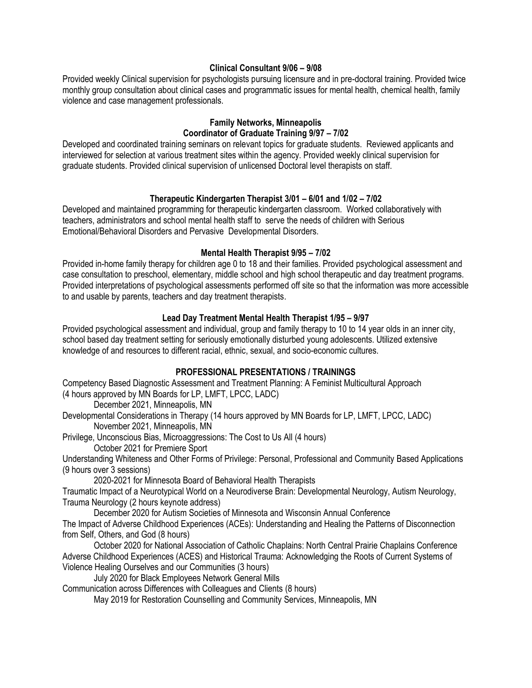#### **Clinical Consultant 9/06 – 9/08**

Provided weekly Clinical supervision for psychologists pursuing licensure and in pre-doctoral training. Provided twice monthly group consultation about clinical cases and programmatic issues for mental health, chemical health, family violence and case management professionals.

## **Family Networks, Minneapolis Coordinator of Graduate Training 9/97 – 7/02**

Developed and coordinated training seminars on relevant topics for graduate students. Reviewed applicants and interviewed for selection at various treatment sites within the agency. Provided weekly clinical supervision for graduate students. Provided clinical supervision of unlicensed Doctoral level therapists on staff.

#### **Therapeutic Kindergarten Therapist 3/01 – 6/01 and 1/02 – 7/02**

Developed and maintained programming for therapeutic kindergarten classroom. Worked collaboratively with teachers, administrators and school mental health staff to serve the needs of children with Serious Emotional/Behavioral Disorders and Pervasive Developmental Disorders.

## **Mental Health Therapist 9/95 – 7/02**

Provided in-home family therapy for children age 0 to 18 and their families. Provided psychological assessment and case consultation to preschool, elementary, middle school and high school therapeutic and day treatment programs. Provided interpretations of psychological assessments performed off site so that the information was more accessible to and usable by parents, teachers and day treatment therapists.

## **Lead Day Treatment Mental Health Therapist 1/95 – 9/97**

Provided psychological assessment and individual, group and family therapy to 10 to 14 year olds in an inner city, school based day treatment setting for seriously emotionally disturbed young adolescents. Utilized extensive knowledge of and resources to different racial, ethnic, sexual, and socio-economic cultures.

## **PROFESSIONAL PRESENTATIONS / TRAININGS**

Competency Based Diagnostic Assessment and Treatment Planning: A Feminist Multicultural Approach (4 hours approved by MN Boards for LP, LMFT, LPCC, LADC)

December 2021, Minneapolis, MN

Developmental Considerations in Therapy (14 hours approved by MN Boards for LP, LMFT, LPCC, LADC) November 2021, Minneapolis, MN

Privilege, Unconscious Bias, Microaggressions: The Cost to Us All (4 hours)

October 2021 for Premiere Sport

Understanding Whiteness and Other Forms of Privilege: Personal, Professional and Community Based Applications (9 hours over 3 sessions)

2020-2021 for Minnesota Board of Behavioral Health Therapists

Traumatic Impact of a Neurotypical World on a Neurodiverse Brain: Developmental Neurology, Autism Neurology, Trauma Neurology (2 hours keynote address)

December 2020 for Autism Societies of Minnesota and Wisconsin Annual Conference

The Impact of Adverse Childhood Experiences (ACEs): Understanding and Healing the Patterns of Disconnection from Self, Others, and God (8 hours)

October 2020 for National Association of Catholic Chaplains: North Central Prairie Chaplains Conference Adverse Childhood Experiences (ACES) and Historical Trauma: Acknowledging the Roots of Current Systems of Violence Healing Ourselves and our Communities (3 hours)

July 2020 for Black Employees Network General Mills

Communication across Differences with Colleagues and Clients (8 hours)

May 2019 for Restoration Counselling and Community Services, Minneapolis, MN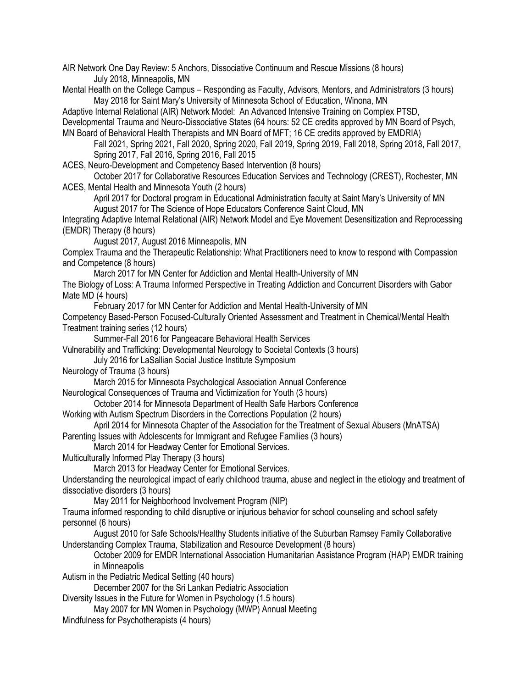AIR Network One Day Review: 5 Anchors, Dissociative Continuum and Rescue Missions (8 hours) July 2018, Minneapolis, MN

Mental Health on the College Campus – Responding as Faculty, Advisors, Mentors, and Administrators (3 hours) May 2018 for Saint Mary's University of Minnesota School of Education, Winona, MN

Adaptive Internal Relational (AIR) Network Model: An Advanced Intensive Training on Complex PTSD, Developmental Trauma and Neuro-Dissociative States (64 hours: 52 CE credits approved by MN Board of Psych, MN Board of Behavioral Health Therapists and MN Board of MFT; 16 CE credits approved by EMDRIA)

Fall 2021, Spring 2021, Fall 2020, Spring 2020, Fall 2019, Spring 2019, Fall 2018, Spring 2018, Fall 2017, Spring 2017, Fall 2016, Spring 2016, Fall 2015

ACES, Neuro-Development and Competency Based Intervention (8 hours)

October 2017 for Collaborative Resources Education Services and Technology (CREST), Rochester, MN ACES, Mental Health and Minnesota Youth (2 hours)

April 2017 for Doctoral program in Educational Administration faculty at Saint Mary's University of MN August 2017 for The Science of Hope Educators Conference Saint Cloud, MN

Integrating Adaptive Internal Relational (AIR) Network Model and Eye Movement Desensitization and Reprocessing (EMDR) Therapy (8 hours)

August 2017, August 2016 Minneapolis, MN

Complex Trauma and the Therapeutic Relationship: What Practitioners need to know to respond with Compassion and Competence (8 hours)

March 2017 for MN Center for Addiction and Mental Health-University of MN

The Biology of Loss: A Trauma Informed Perspective in Treating Addiction and Concurrent Disorders with Gabor Mate MD (4 hours)

February 2017 for MN Center for Addiction and Mental Health-University of MN

Competency Based-Person Focused-Culturally Oriented Assessment and Treatment in Chemical/Mental Health Treatment training series (12 hours)

Summer-Fall 2016 for Pangeacare Behavioral Health Services

Vulnerability and Trafficking: Developmental Neurology to Societal Contexts (3 hours)

July 2016 for LaSallian Social Justice Institute Symposium

Neurology of Trauma (3 hours)

March 2015 for Minnesota Psychological Association Annual Conference

Neurological Consequences of Trauma and Victimization for Youth (3 hours)

October 2014 for Minnesota Department of Health Safe Harbors Conference

Working with Autism Spectrum Disorders in the Corrections Population (2 hours)

April 2014 for Minnesota Chapter of the Association for the Treatment of Sexual Abusers (MnATSA)

Parenting Issues with Adolescents for Immigrant and Refugee Families (3 hours)

March 2014 for Headway Center for Emotional Services.

Multiculturally Informed Play Therapy (3 hours)

March 2013 for Headway Center for Emotional Services.

Understanding the neurological impact of early childhood trauma, abuse and neglect in the etiology and treatment of dissociative disorders (3 hours)

May 2011 for Neighborhood Involvement Program (NIP)

Trauma informed responding to child disruptive or injurious behavior for school counseling and school safety personnel (6 hours)

August 2010 for Safe Schools/Healthy Students initiative of the Suburban Ramsey Family Collaborative Understanding Complex Trauma, Stabilization and Resource Development (8 hours)

October 2009 for EMDR International Association Humanitarian Assistance Program (HAP) EMDR training in Minneapolis

Autism in the Pediatric Medical Setting (40 hours)

December 2007 for the Sri Lankan Pediatric Association

Diversity Issues in the Future for Women in Psychology (1.5 hours)

May 2007 for MN Women in Psychology (MWP) Annual Meeting

Mindfulness for Psychotherapists (4 hours)